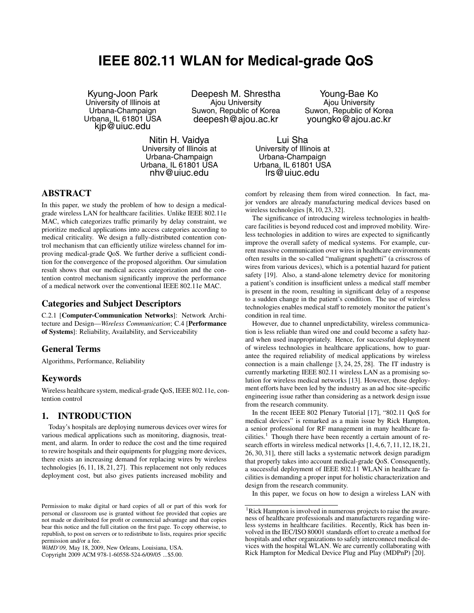# **IEEE 802.11 WLAN for Medical-grade QoS**

Kyung-Joon Park University of Illinois at Urbana-Champaign Urbana, IL 61801 USA kjp@uiuc.edu

Deepesh M. Shrestha Ajou University Suwon, Republic of Korea deepesh@ajou.ac.kr

Young-Bae Ko Ajou University Suwon, Republic of Korea youngko@ajou.ac.kr

Nitin H. Vaidya University of Illinois at Urbana-Champaign Urbana, IL 61801 USA nhv@uiuc.edu

Lui Sha University of Illinois at Urbana-Champaign Urbana, IL 61801 USA lrs@uiuc.edu

# **ABSTRACT**

In this paper, we study the problem of how to design a medicalgrade wireless LAN for healthcare facilities. Unlike IEEE 802.11e MAC, which categorizes traffic primarily by delay constraint, we prioritize medical applications into access categories according to medical criticality. We design a fully-distributed contention control mechanism that can efficiently utilize wireless channel for improving medical-grade QoS. We further derive a sufficient condition for the convergence of the proposed algorithm. Our simulation result shows that our medical access categorization and the contention control mechanism significantly improve the performance of a medical network over the conventional IEEE 802.11e MAC.

# **Categories and Subject Descriptors**

C.2.1 [**Computer-Communication Networks**]: Network Architecture and Design—*Wireless Communication*; C.4 [**Performance of Systems**]: Reliability, Availability, and Serviceability

# **General Terms**

Algorithms, Performance, Reliability

# **Keywords**

Wireless healthcare system, medical-grade QoS, IEEE 802.11e, contention control

# **1. INTRODUCTION**

Today's hospitals are deploying numerous devices over wires for various medical applications such as monitoring, diagnosis, treatment, and alarm. In order to reduce the cost and the time required to rewire hospitals and their equipments for plugging more devices, there exists an increasing demand for replacing wires by wireless technologies [6, 11, 18, 21, 27]. This replacement not only reduces deployment cost, but also gives patients increased mobility and

Copyright 2009 ACM 978-1-60558-524-6/09/05 ...\$5.00.

comfort by releasing them from wired connection. In fact, major vendors are already manufacturing medical devices based on wireless technologies [8, 10, 23, 32].

The significance of introducing wireless technologies in healthcare facilities is beyond reduced cost and improved mobility. Wireless technologies in addition to wires are expected to significantly improve the overall safety of medical systems. For example, current massive communication over wires in healthcare environments often results in the so-called "malignant spaghetti" (a crisscross of wires from various devices), which is a potential hazard for patient safety [19]. Also, a stand-alone telemetry device for monitoring a patient's condition is insufficient unless a medical staff member is present in the room, resulting in significant delay of a response to a sudden change in the patient's condition. The use of wireless technologies enables medical staff to remotely monitor the patient's condition in real time.

However, due to channel unpredictability, wireless communication is less reliable than wired one and could become a safety hazard when used inappropriately. Hence, for successful deployment of wireless technologies in healthcare applications, how to guarantee the required reliability of medical applications by wireless connection is a main challenge [3, 24, 25, 28]. The IT industry is currently marketing IEEE 802.11 wireless LAN as a promising solution for wireless medical networks [13]. However, those deployment efforts have been led by the industry as an ad hoc site-specific engineering issue rather than considering as a network design issue from the research community.

In the recent IEEE 802 Plenary Tutorial [17], "802.11 QoS for medical devices" is remarked as a main issue by Rick Hampton, a senior professional for RF management in many healthcare facilities.<sup>1</sup> Though there have been recently a certain amount of research efforts in wireless medical networks [1, 4, 6, 7, 11, 12, 18, 21, 26, 30, 31], there still lacks a systematic network design paradigm that properly takes into account medical-grade QoS. Consequently, a successful deployment of IEEE 802.11 WLAN in healthcare facilities is demanding a proper input for holistic characterization and design from the research community.

In this paper, we focus on how to design a wireless LAN with

Permission to make digital or hard copies of all or part of this work for personal or classroom use is granted without fee provided that copies are not made or distributed for profit or commercial advantage and that copies bear this notice and the full citation on the first page. To copy otherwise, to republish, to post on servers or to redistribute to lists, requires prior specific permission and/or a fee.

*WiMD'09,* May 18, 2009, New Orleans, Louisiana, USA.

<sup>&</sup>lt;sup>1</sup>Rick Hampton is involved in numerous projects to raise the awareness of healthcare professionals and manufacturers regarding wireless systems in healthcare facilities. Recently, Rick has been involved in the IEC/ISO 80001 standards effort to create a method for hospitals and other organizations to safely interconnect medical devices with the hospital WLAN. We are currently collaborating with Rick Hampton for Medical Device Plug and Play (MDPnP) [20].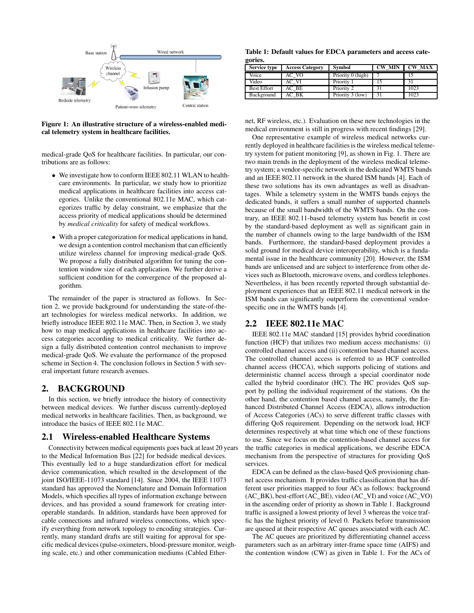

**Figure 1: An illustrative structure of a wireless-enabled medical telemetry system in healthcare facilities.**

medical-grade QoS for healthcare facilities. In particular, our contributions are as follows:

- We investigate how to conform IEEE 802.11 WLAN to healthcare environments. In particular, we study how to prioritize medical applications in healthcare facilities into access categories. Unlike the conventional 802.11e MAC, which categorizes traffic by delay constraint, we emphasize that the access priority of medical applications should be determined by *medical criticality* for safety of medical workflows.
- With a proper categorization for medical applications in hand, we design a contention control mechanism that can efficiently utilize wireless channel for improving medical-grade QoS. We propose a fully distributed algorithm for tuning the contention window size of each application. We further derive a sufficient condition for the convergence of the proposed algorithm.

The remainder of the paper is structured as follows. In Section 2, we provide background for understanding the state-of-theart technologies for wireless medical networks. In addition, we briefly introduce IEEE 802.11e MAC. Then, in Section 3, we study how to map medical applications in healthcare facilities into access categories according to medical criticality. We further design a fully distributed contention control mechanism to improve medical-grade QoS. We evaluate the performance of the proposed scheme in Section 4. The conclusion follows in Section 5 with several important future research avenues.

# **2. BACKGROUND**

In this section, we briefly introduce the history of connectivity between medical devices. We further discuss currently-deployed medical networks in healthcare facilities. Then, as background, we introduce the basics of IEEE 802.11e MAC.

#### **2.1 Wireless-enabled Healthcare Systems**

Connectivity between medical equipments goes back at least 20 years to the Medical Information Bus [22] for bedside medical devices. This eventually led to a huge standardization effort for medical device communication, which resulted in the development of the joint ISO/IEEE-11073 standard [14]. Since 2004, the IEEE 11073 standard has approved the Nomenclature and Domain Information Models, which specifies all types of information exchange between devices, and has provided a sound framework for creating interoperable standards. In addition, standards have been approved for cable connections and infrared wireless connections, which specify everything from network topology to encoding strategies. Currently, many standard drafts are still waiting for approval for specific medical devices (pulse-oximeters, blood-pressure monitor, weighing scale, etc.) and other communication mediums (Cabled Ether-

**Table 1: Default values for EDCA parameters and access categories.**

| <b>Service type</b> | <b>Access Category</b> | <b>Symbol</b>     | <b>CW MIN</b> | <b>CW MAX</b> |
|---------------------|------------------------|-------------------|---------------|---------------|
| Voice               | AC VO                  | Priority 0 (high) |               |               |
| Video               | AC VI                  | Priority 1        | 15            |               |
| <b>Best Effort</b>  | AC BE                  | Priority 2        | 31            | 1023          |
| Background          | AC BK                  | Priority 3 (low)  | 31            | 1023          |

net, RF wireless, etc.). Evaluation on these new technologies in the medical environment is still in progress with recent findings [29].

One representative example of wireless medical networks currently deployed in healthcare facilities is the wireless medical telemetry system for patient monitoring [9], as shown in Fig. 1. There are two main trends in the deployment of the wireless medical telemetry system; a vendor-specific network in the dedicated WMTS bands and an IEEE 802.11 network in the shared ISM bands [4]. Each of these two solutions has its own advantages as well as disadvantages. While a telemetry system in the WMTS bands enjoys the dedicated bands, it suffers a small number of supported channels because of the small bandwidth of the WMTS bands. On the contrary, an IEEE 802.11-based telemetry system has benefit in cost by the standard-based deployment as well as significant gain in the number of channels owing to the large bandwidth of the ISM bands. Furthermore, the standard-based deployment provides a solid ground for medical device interoperability, which is a fundamental issue in the healthcare community [20]. However, the ISM bands are unlicensed and are subject to interference from other devices such as Bluetooth, microwave ovens, and cordless telephones. Nevertheless, it has been recently reported through substantial deployment experiences that an IEEE 802.11 medical network in the ISM bands can significantly outperform the conventional vendorspecific one in the WMTS bands [4].

# **2.2 IEEE 802.11e MAC**

IEEE 802.11e MAC standard [15] provides hybrid coordination function (HCF) that utilizes two medium access mechanisms: (i) controlled channel access and (ii) contention based channel access. The controlled channel access is referred to as HCF controlled channel access (HCCA), which supports policing of stations and deterministic channel access through a special coordinator node called the hybrid coordinator (HC). The HC provides QoS support by polling the individual requirement of the stations. On the other hand, the contention based channel access, namely, the Enhanced Distributed Channel Access (EDCA), allows introduction of Access Categories (ACs) to serve different traffic classes with differing QoS requirement. Depending on the network load, HCF determines respectively at what time which one of these functions to use. Since we focus on the contention-based channel access for the traffic categories in medical applications, we describe EDCA mechanism from the perspective of structures for providing QoS services.

EDCA can be defined as the class-based QoS provisioning channel access mechanism. It provides traffic classification that has different user priorities mapped to four ACs as follows: background (AC\_BK), best-effort (AC\_BE), video (AC\_VI) and voice (AC\_VO) in the ascending order of priority as shown in Table 1. Background traffic is assigned a lowest priority of level 3 whereas the voice traffic has the highest priority of level 0. Packets before transmission are queued at their respective AC queues associated with each AC.

The AC queues are prioritized by differentiating channel access parameters such as an arbitrary inter-frame space time (AIFS) and the contention window (CW) as given in Table 1. For the ACs of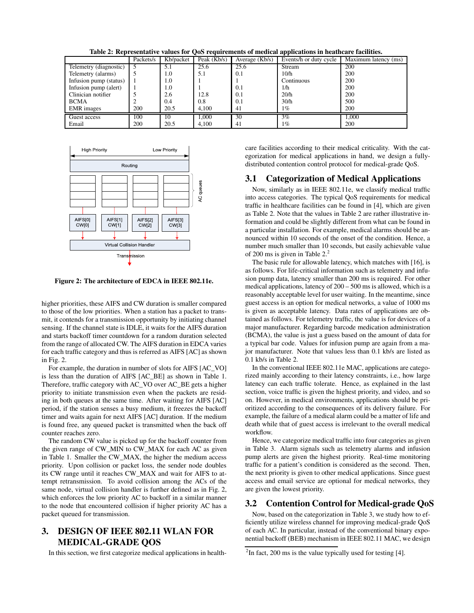**Table 2: Representative values for QoS requirements of medical applications in heathcare facilities.**

|                        | Packets/s | Kb/packet | Peak $(Kb/s)$ | Average (Kb/s) | Events/h or duty cycle | $\overline{\text{Maximum}}$ latency (ms) |
|------------------------|-----------|-----------|---------------|----------------|------------------------|------------------------------------------|
| Telemetry (diagnostic) |           | 5.1       | 25.6          | 25.6           | Stream                 | 200                                      |
| Telemetry (alarms)     |           | 1.0       | 5.1           | 0.1            | 10/h                   | 200                                      |
| Infusion pump (status) |           | 1.0       |               |                | Continuous             | 200                                      |
| Infusion pump (alert)  |           | 1.0       |               | 0.1            | 1/h                    | 200                                      |
| Clinician notifier     |           | 2.6       | 12.8          | 0.1            | 20/h                   | 200                                      |
| <b>BCMA</b>            |           | 0.4       | 0.8           | 0.1            | 30/h                   | 500                                      |
| <b>EMR</b> images      | 200       | 20.5      | 4.100         | 41             | 1%                     | 200                                      |
| Guest access           | 100       | 10        | 1.000         | 30             | $3\%$                  | 1.000                                    |
| Email                  | 200       | 20.5      | 4.100         | 41             | $1\%$                  | 200                                      |



**Figure 2: The architecture of EDCA in IEEE 802.11e.**

higher priorities, these AIFS and CW duration is smaller compared to those of the low priorities. When a station has a packet to transmit, it contends for a transmission opportunity by initiating channel sensing. If the channel state is IDLE, it waits for the AIFS duration and starts backoff timer countdown for a random duration selected from the range of allocated CW. The AIFS duration in EDCA varies for each traffic category and thus is referred as AIFS [AC] as shown in Fig. 2.

For example, the duration in number of slots for AIFS [AC\_VO] is less than the duration of AIFS [AC\_BE] as shown in Table 1. Therefore, traffic category with AC\_VO over AC\_BE gets a higher priority to initiate transmission even when the packets are residing in both queues at the same time. After waiting for AIFS [AC] period, if the station senses a busy medium, it freezes the backoff timer and waits again for next AIFS [AC] duration. If the medium is found free, any queued packet is transmitted when the back off counter reaches zero.

The random CW value is picked up for the backoff counter from the given range of CW\_MIN to CW\_MAX for each AC as given in Table 1. Smaller the CW\_MAX, the higher the medium access priority. Upon collision or packet loss, the sender node doubles its CW range until it reaches CW\_MAX and wait for AIFS to attempt retransmission. To avoid collision among the ACs of the same node, virtual collision handler is further defined as in Fig. 2, which enforces the low priority AC to backoff in a similar manner to the node that encountered collision if higher priority AC has a packet queued for transmission.

# **3. DESIGN OF IEEE 802.11 WLAN FOR MEDICAL-GRADE QOS**

In this section, we first categorize medical applications in health-

care facilities according to their medical criticality. With the categorization for medical applications in hand, we design a fullydistributed contention control protocol for medical-grade QoS.

#### **3.1 Categorization of Medical Applications**

Now, similarly as in IEEE 802.11e, we classify medical traffic into access categories. The typical QoS requirements for medical traffic in healthcare facilities can be found in [4], which are given as Table 2. Note that the values in Table 2 are rather illustrative information and could be slightly different from what can be found in a particular installation. For example, medical alarms should be announced within 10 seconds of the onset of the condition. Hence, a number much smaller than 10 seconds, but easily achievable value of 200 ms is given in Table 2.<sup>2</sup>

The basic rule for allowable latency, which matches with [16], is as follows. For life-critical information such as telemetry and infusion pump data, latency smaller than 200 ms is required. For other medical applications, latency of 200 – 500 ms is allowed, which is a reasonably acceptable level for user waiting. In the meantime, since guest access is an option for medical networks, a value of 1000 ms is given as acceptable latency. Data rates of applications are obtained as follows. For telemetry traffic, the value is for devices of a major manufacturer. Regarding barcode medication administration (BCMA), the value is just a guess based on the amount of data for a typical bar code. Values for infusion pump are again from a major manufacturer. Note that values less than 0.1 kb/s are listed as 0.1 kb/s in Table 2.

In the conventional IEEE 802.11e MAC, applications are categorized mainly according to their latency constraints, i.e., how large latency can each traffic tolerate. Hence, as explained in the last section, voice traffic is given the highest priority, and video, and so on. However, in medical environments, applications should be prioritized according to the consequences of its delivery failure. For example, the failure of a medical alarm could be a matter of life and death while that of guest access is irrelevant to the overall medical workflow.

Hence, we categorize medical traffic into four categories as given in Table 3. Alarm signals such as telemetry alarms and infusion pump alerts are given the highest priority. Real-time monitoring traffic for a patient's condition is considered as the second. Then, the next priority is given to other medical applications. Since guest access and email service are optional for medical networks, they are given the lowest priority.

## **3.2 Contention Control for Medical-grade QoS**

Now, based on the categorization in Table 3, we study how to efficiently utilize wireless channel for improving medical-grade QoS of each AC. In particular, instead of the conventional binary exponential backoff (BEB) mechanism in IEEE 802.11 MAC, we design

 $2$ In fact, 200 ms is the value typically used for testing [4].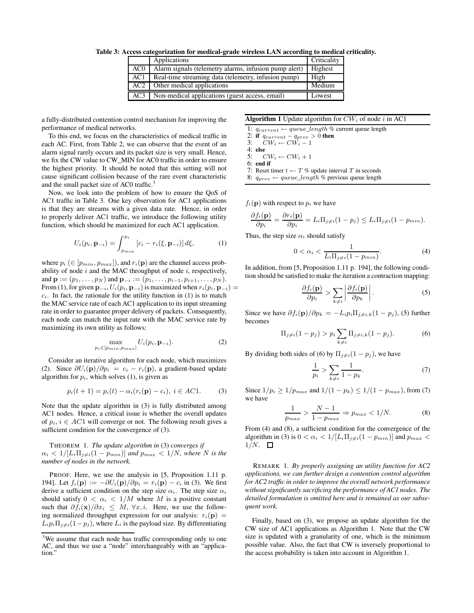**Table 3: Access categorization for medical-grade wireless LAN according to medical criticality.**

|                 | Applications                                          | Criticality |
|-----------------|-------------------------------------------------------|-------------|
| AC <sub>0</sub> | Alarm signals (telemetry alarms, infusion pump alert) | Highest     |
| AC1             | Real-time streaming data (telemetry, infusion pump)   | High        |
| AC2             | Other medical applications                            | Medium      |
| AC3             | Non-medical applications (guest access, email)        | Lowest      |

a fully-distributed contention control mechanism for improving the performance of medical networks.

To this end, we focus on the characteristics of medical traffic in each AC. First, from Table 2, we can observe that the event of an alarm signal rarely occurs and its packet size is very small. Hence, we fix the CW value to CW\_MIN for AC0 traffic in order to ensure the highest priority. It should be noted that this setting will not cause significant collision because of the rare event characteristic and the small packet size of AC0 traffic.<sup>3</sup>

Now, we look into the problem of how to ensure the QoS of AC1 traffic in Table 3. One key observation for AC1 applications is that they are streams with a given data rate. Hence, in order to properly deliver AC1 traffic, we introduce the following utility function, which should be maximized for each AC1 application.

$$
U_i(p_i, \mathbf{p}_{-i}) = \int_{p_{min}}^{p_i} [c_i - r_i(\xi, \mathbf{p}_{-i})] d\xi,
$$
 (1)

where  $p_i$  ( $\in$  [ $p_{min}, p_{max}$ ]), and  $r_i(\mathbf{p})$  are the channel access probability of node  $i$  and the MAC throughput of node  $i$ , respectively, and  $\mathbf{p} := (p_1, \ldots, p_N)$  and  $\mathbf{p}_{-i} := (p_1, \ldots, p_{i-1}, p_{i+1}, \ldots, p_N)$ . From (1), for given  $\mathbf{p}_{-i}$ ,  $U_i(p_i, \mathbf{p}_{-i})$  is maximized when  $r_i(p_i, \mathbf{p}_{-i}) =$  $c_i$ . In fact, the rationale for the utility function in  $(1)$  is to match the MAC service rate of each AC1 application to its input streaming rate in order to guarantee proper delivery of packets. Consequently, each node can match the input rate with the MAC service rate by maximizing its own utility as follows:

$$
\max_{p_i \in [p_{min}, p_{max}]} U_i(p_i, \mathbf{p}_{-i}).
$$
\n(2)

Consider an iterative algorithm for each node, which maximizes (2). Since  $\partial U_i(\mathbf{p})/\partial p_i = c_i - r_i(\mathbf{p})$ , a gradient-based update algorithm for  $p_i$ , which solves  $(1)$ , is given as

$$
p_i(t + 1) = p_i(t) - \alpha_i(r_i(\mathbf{p}) - c_i), \ i \in AC1.
$$
 (3)

Note that the update algorithm in (3) is fully distributed among AC1 nodes. Hence, a critical issue is whether the overall updates of  $p_i$ ,  $i \in AC1$  will converge or not. The following result gives a sufficient condition for the convergence of  $(3)$ .

THEOREM 1. *The update algorithm in* (3) *converges if*  $\alpha_i < 1/[L_i \Pi_{j \neq i}(1 - p_{min})]$  *and*  $p_{max} < 1/N$ *, where* N *is the number of nodes in the network.*

PROOF. Here, we use the analysis in [5, Proposition 1.11 p. 194]. Let  $f_i(\mathbf{p}) := -\partial U_i(\mathbf{p})/\partial p_i = r_i(\mathbf{p}) - c_i$  in (3). We first derive a sufficient condition on the step size  $\alpha_i$ . The step size  $\alpha_i$ should satisfy  $0 < \alpha_i < 1/M$  where M is a positive constant such that  $\partial f_i(\mathbf{x})/\partial x_i \leq M$ ,  $\forall x, i$ . Here, we use the following normalized throughput expression for our analysis:  $r_i(\mathbf{p}) =$  $L_i p_i \Pi_{j \neq i} (1 - p_j)$ , where  $L_i$  is the payload size. By differentiating

#### **Algorithm 1** Update algorithm for  $CW_i$  of node i in AC1

- 1:  $q_{current} \leftarrow queue\_length$  % current queue length
- 2: **if**  $q_{current} q_{prev} > 0$  **then**<br>3:  $CW_i \leftarrow CW_i 1$
- $CW_i \leftarrow CW_i 1$
- 4: **else**  $CW_i \leftarrow CW_i + 1$
- 6: **end if**
- 7: Reset timer  $t \leftarrow T$  % update interval *T* in seconds
- 8:  $q_{prev} \leftarrow queue\_length$  % previous queue length

 $f_i(\mathbf{p})$  with respect to  $p_i$  we have

$$
\frac{\partial f_i(\mathbf{p})}{\partial p_i} = \frac{\partial r_i(\mathbf{p})}{\partial p_i} = L_i \Pi_{j \neq i} (1 - p_j) \leq L_i \Pi_{j \neq i} (1 - p_{min}).
$$

Thus, the step size  $\alpha_i$  should satisfy

$$
0 < \alpha_i < \frac{1}{L_i \Pi_j \neq i \left(1 - p_{min}\right)}.\tag{4}
$$

In addition, from [5, Proposition 1.11 p. 194], the following condition should be satisfied to make the iteration a contraction mapping:

$$
\frac{\partial f_i(\mathbf{p})}{\partial p_i} > \sum_{k \neq i} \left| \frac{\partial f_i(\mathbf{p})}{\partial p_k} \right|.
$$
 (5)

Since we have  $\partial f_i(\mathbf{p})/\partial p_k = -L_i p_i \Pi_{i \neq i,k}(1 - p_j)$ , (5) further becomes

$$
\Pi_{j \neq i} (1 - p_j) > p_i \sum_{k \neq i} \Pi_{j \neq i,k} (1 - p_j).
$$
 (6)

By dividing both sides of (6) by  $\Pi_{j\neq i}(1-p_j)$ , we have

$$
\frac{1}{p_i} > \sum_{k \neq i} \frac{1}{1 - p_k}.
$$
\n(7)

Since  $1/p_i$  ≥  $1/p_{max}$  and  $1/(1 - p_k)$  ≤  $1/(1 - p_{max})$ , from (7) we have

$$
\frac{1}{p_{max}} > \frac{N-1}{1-p_{max}} \Rightarrow p_{max} < 1/N.
$$
 (8)

From (4) and (8), a sufficient condition for the convergence of the algorithm in (3) is  $0 < \alpha_i < 1/[L_i \Pi_{j \neq i}(1 - p_{min})]$  and  $p_{max} <$  $1/N.$   $\Box$ 

REMARK 1. *By properly assigning an utility function for AC2 applications, we can further design a contention control algorithm for AC2 traffic in order to improve the overall network performance without significantly sacrificing the performance of AC1 nodes. The detailed formulation is omitted here and is remained as our subsequent work.*

Finally, based on (3), we propose an update algorithm for the CW size of AC1 applications as Algorithm 1. Note that the CW size is updated with a granularity of one, which is the minimum possible value. Also, the fact that CW is inversely proportional to the access probability is taken into account in Algorithm 1.

<sup>&</sup>lt;sup>3</sup>We assume that each node has traffic corresponding only to one AC, and thus we use a "node" interchangeably with an "application."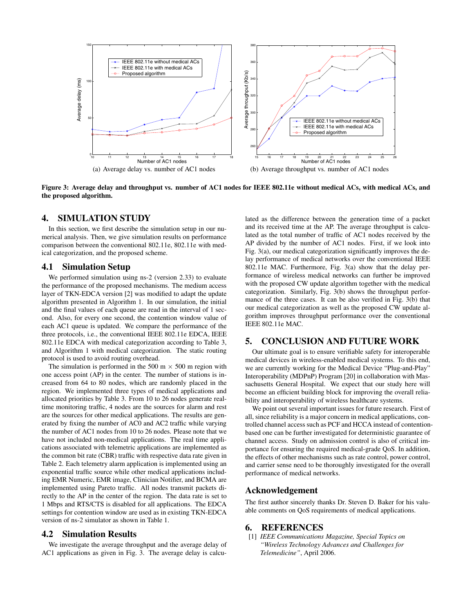

**Figure 3: Average delay and throughput vs. number of AC1 nodes for IEEE 802.11e without medical ACs, with medical ACs, and the proposed algorithm.**

#### **4. SIMULATION STUDY**

In this section, we first describe the simulation setup in our numerical analysis. Then, we give simulation results on performance comparison between the conventional 802.11e, 802.11e with medical categorization, and the proposed scheme.

#### **4.1 Simulation Setup**

We performed simulation using ns-2 (version 2.33) to evaluate the performance of the proposed mechanisms. The medium access layer of TKN-EDCA version [2] was modified to adapt the update algorithm presented in Algorithm 1. In our simulation, the initial and the final values of each queue are read in the interval of 1 second. Also, for every one second, the contention window value of each AC1 queue is updated. We compare the performance of the three protocols, i.e., the conventional IEEE 802.11e EDCA, IEEE 802.11e EDCA with medical categorization according to Table 3, and Algorithm 1 with medical categorization. The static routing protocol is used to avoid routing overhead.

The simulation is performed in the 500 m  $\times$  500 m region with one access point (AP) in the center. The number of stations is increased from 64 to 80 nodes, which are randomly placed in the region. We implemented three types of medical applications and allocated priorities by Table 3. From 10 to 26 nodes generate realtime monitoring traffic, 4 nodes are the sources for alarm and rest are the sources for other medical applications. The results are generated by fixing the number of AC0 and AC2 traffic while varying the number of AC1 nodes from 10 to 26 nodes. Please note that we have not included non-medical applications. The real time applications associated with telemetric applications are implemented as the common bit rate (CBR) traffic with respective data rate given in Table 2. Each telemetry alarm application is implemented using an exponential traffic source while other medical applications including EMR Numeric, EMR image, Clinician Notifier, and BCMA are implemented using Pareto traffic. All nodes transmit packets directly to the AP in the center of the region. The data rate is set to 1 Mbps and RTS/CTS is disabled for all applications. The EDCA settings for contention window are used as in existing TKN-EDCA version of ns-2 simulator as shown in Table 1.

# **4.2 Simulation Results**

We investigate the average throughput and the average delay of AC1 applications as given in Fig. 3. The average delay is calculated as the difference between the generation time of a packet and its received time at the AP. The average throughput is calculated as the total number of traffic of AC1 nodes received by the AP divided by the number of AC1 nodes. First, if we look into Fig. 3(a), our medical categorization significantly improves the delay performance of medical networks over the conventional IEEE 802.11e MAC. Furthermore, Fig. 3(a) show that the delay performance of wireless medical networks can further be improved with the proposed CW update algorithm together with the medical categorization. Similarly, Fig. 3(b) shows the throughput performance of the three cases. It can be also verified in Fig. 3(b) that our medical categorization as well as the proposed CW update algorithm improves throughput performance over the conventional IEEE 802.11e MAC.

#### **5. CONCLUSION AND FUTURE WORK**

Our ultimate goal is to ensure verifiable safety for interoperable medical devices in wireless-enabled medical systems. To this end, we are currently working for the Medical Device "Plug-and-Play" Interoperability (MDPnP) Program [20] in collaboration with Massachusetts General Hospital. We expect that our study here will become an efficient building block for improving the overall reliability and interoperability of wireless healthcare systems.

We point out several important issues for future research. First of all, since reliability is a major concern in medical applications, controlled channel access such as PCF and HCCA instead of contentionbased one can be further investigated for deterministic guarantee of channel access. Study on admission control is also of critical importance for ensuring the required medical-grade QoS. In addition, the effects of other mechanisms such as rate control, power control, and carrier sense need to be thoroughly investigated for the overall performance of medical networks.

## **Acknowledgement**

The first author sincerely thanks Dr. Steven D. Baker for his valuable comments on QoS requirements of medical applications.

# **6. REFERENCES**

[1] *IEEE Communications Magazine, Special Topics on "Wireless Technology Advances and Challenges for Telemedicine"*, April 2006.